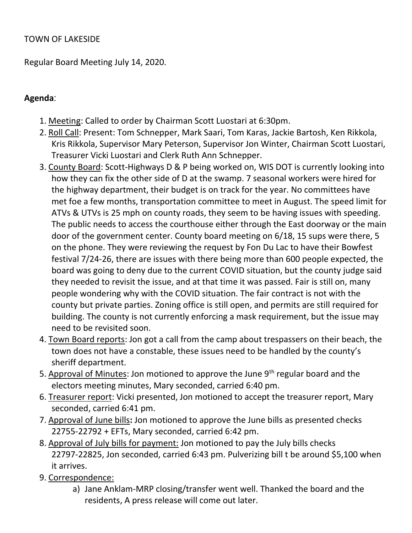#### TOWN OF LAKESIDE

Regular Board Meeting July 14, 2020.

## Agenda:

- 1. Meeting: Called to order by Chairman Scott Luostari at 6:30pm.
- 2. Roll Call: Present: Tom Schnepper, Mark Saari, Tom Karas, Jackie Bartosh, Ken Rikkola, Kris Rikkola, Supervisor Mary Peterson, Supervisor Jon Winter, Chairman Scott Luostari, Treasurer Vicki Luostari and Clerk Ruth Ann Schnepper.
- 3. County Board: Scott-Highways D & P being worked on, WIS DOT is currently looking into how they can fix the other side of D at the swamp. 7 seasonal workers were hired for the highway department, their budget is on track for the year. No committees have met foe a few months, transportation committee to meet in August. The speed limit for ATVs & UTVs is 25 mph on county roads, they seem to be having issues with speeding. The public needs to access the courthouse either through the East doorway or the main door of the government center. County board meeting on 6/18, 15 sups were there, 5 on the phone. They were reviewing the request by Fon Du Lac to have their Bowfest festival 7/24-26, there are issues with there being more than 600 people expected, the board was going to deny due to the current COVID situation, but the county judge said they needed to revisit the issue, and at that time it was passed. Fair is still on, many people wondering why with the COVID situation. The fair contract is not with the county but private parties. Zoning office is still open, and permits are still required for building. The county is not currently enforcing a mask requirement, but the issue may need to be revisited soon.
- 4. Town Board reports: Jon got a call from the camp about trespassers on their beach, the town does not have a constable, these issues need to be handled by the county's sheriff department.
- 5. Approval of Minutes: Jon motioned to approve the June  $9<sup>th</sup>$  regular board and the electors meeting minutes, Mary seconded, carried 6:40 pm.
- 6. Treasurer report: Vicki presented, Jon motioned to accept the treasurer report, Mary seconded, carried 6:41 pm.
- 7. Approval of June bills: Jon motioned to approve the June bills as presented checks 22755-22792 + EFTs, Mary seconded, carried 6:42 pm.
- 8. Approval of July bills for payment: Jon motioned to pay the July bills checks 22797-22825, Jon seconded, carried 6:43 pm. Pulverizing bill t be around \$5,100 when it arrives.
- 9. Correspondence:
	- a) Jane Anklam-MRP closing/transfer went well. Thanked the board and the residents, A press release will come out later.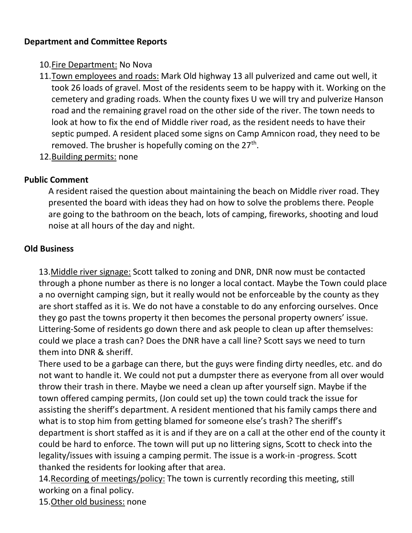## Department and Committee Reports

- 10.Fire Department: No Nova
- 11.Town employees and roads: Mark Old highway 13 all pulverized and came out well, it took 26 loads of gravel. Most of the residents seem to be happy with it. Working on the cemetery and grading roads. When the county fixes U we will try and pulverize Hanson road and the remaining gravel road on the other side of the river. The town needs to look at how to fix the end of Middle river road, as the resident needs to have their septic pumped. A resident placed some signs on Camp Amnicon road, they need to be removed. The brusher is hopefully coming on the 27<sup>th</sup>.
- 12.Building permits: none

## Public Comment

A resident raised the question about maintaining the beach on Middle river road. They presented the board with ideas they had on how to solve the problems there. People are going to the bathroom on the beach, lots of camping, fireworks, shooting and loud noise at all hours of the day and night.

# Old Business

13.Middle river signage: Scott talked to zoning and DNR, DNR now must be contacted through a phone number as there is no longer a local contact. Maybe the Town could place a no overnight camping sign, but it really would not be enforceable by the county as they are short staffed as it is. We do not have a constable to do any enforcing ourselves. Once they go past the towns property it then becomes the personal property owners' issue. Littering-Some of residents go down there and ask people to clean up after themselves: could we place a trash can? Does the DNR have a call line? Scott says we need to turn them into DNR & sheriff.

There used to be a garbage can there, but the guys were finding dirty needles, etc. and do not want to handle it. We could not put a dumpster there as everyone from all over would throw their trash in there. Maybe we need a clean up after yourself sign. Maybe if the town offered camping permits, (Jon could set up) the town could track the issue for assisting the sheriff's department. A resident mentioned that his family camps there and what is to stop him from getting blamed for someone else's trash? The sheriff's department is short staffed as it is and if they are on a call at the other end of the county it could be hard to enforce. The town will put up no littering signs, Scott to check into the legality/issues with issuing a camping permit. The issue is a work-in -progress. Scott thanked the residents for looking after that area.

14.Recording of meetings/policy: The town is currently recording this meeting, still working on a final policy.

15.Other old business: none